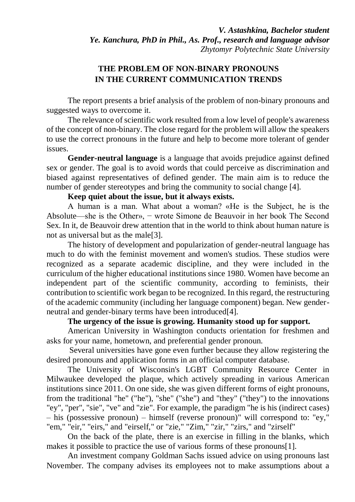*V. Astashkina, Bachelor student Ye. Kanchura, PhD in Phil., As. Prof., research and language advisor Zhytomyr Polytechnic State University*

# **THE PROBLEM OF NON-BINARY PRONOUNS IN THE CURRENT COMMUNICATION TRENDS**

The report presents a brief analysis of the problem of non-binary pronouns and suggested ways to overcome it.

The relevance of scientific work resulted from a low level of people's awareness of the concept of non-binary. The close regard for the problem will allow the speakers to use the correct pronouns in the future and help to become more tolerant of gender issues.

**Gender-neutral language** is a language that avoids prejudice against defined sex or gender. The goal is to avoid words that could perceive as discrimination and biased against representatives of defined gender. The main aim is to reduce the number of gender stereotypes and bring the community to social change [4].

#### **Keep quiet about the issue, but it always exists.**

A human is a man. What about a woman? «He is the Subject, he is the Absolute—she is the Other», − wrote Simone de Beauvoir in her book The Second Sex. In it, de Beauvoir drew attention that in the world to think about human nature is not as universal but as the male[3].

The history of development and popularization of gender-neutral language has much to do with the feminist movement and women's studios. These studios were recognized as a separate academic discipline, and they were included in the curriculum of the higher educational institutions since 1980. Women have become an independent part of the scientific community, according to feminists, their contribution to scientific work began to be recognized. In this regard, the restructuring of the academic community (including her language component) began. New genderneutral and gender-binary terms have been introduced[4].

# **The urgency of the issue is growing. Humanity stood up for support.**

American University in Washington conducts orientation for freshmen and asks for your name, hometown, and preferential gender pronoun.

Several universities have gone even further because they allow registering the desired pronouns and application forms in an official computer database.

The University of Wisconsin's LGBT Community Resource Center in Milwaukee developed the plaque, which actively spreading in various American institutions since 2011. On one side, she was given different forms of eight pronouns, from the traditional "he" ("he"), "she" ("she") and "they" ("they") to the innovations "ey", "per", "sie", "ve" and "zie". For example, the paradigm "he is his (indirect cases) – his (possessive pronoun) – himself (reverse pronoun)" will correspond to: "ey," "em," "eir," "eirs," and "eirself," or "zie," "Zim," "zir," "zirs," and "zirself"

On the back of the plate, there is an exercise in filling in the blanks, which makes it possible to practice the use of various forms of these pronouns[1].

An investment company Goldman Sachs issued advice on using pronouns last November. The company advises its employees not to make assumptions about a